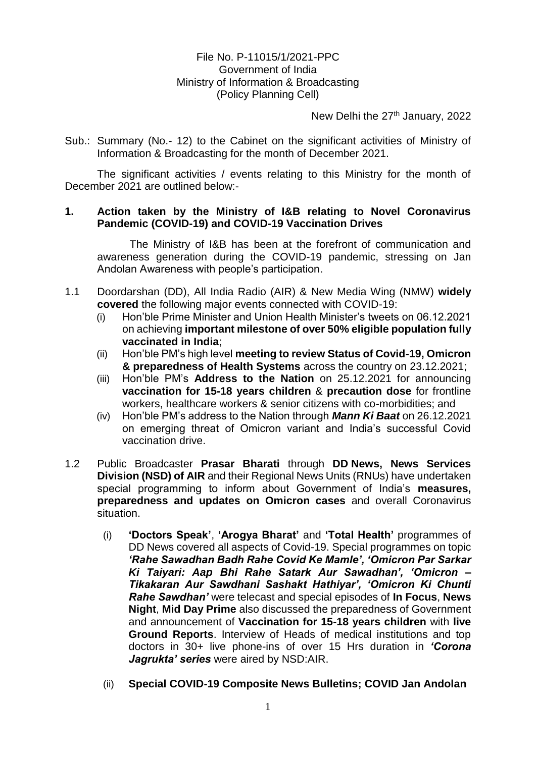## File No. P-11015/1/2021-PPC Government of India Ministry of Information & Broadcasting (Policy Planning Cell)

New Delhi the 27<sup>th</sup> January, 2022

Sub.: Summary (No.- 12) to the Cabinet on the significant activities of Ministry of Information & Broadcasting for the month of December 2021.

The significant activities / events relating to this Ministry for the month of December 2021 are outlined below:-

## **1. Action taken by the Ministry of I&B relating to Novel Coronavirus Pandemic (COVID-19) and COVID-19 Vaccination Drives**

The Ministry of I&B has been at the forefront of communication and awareness generation during the COVID-19 pandemic, stressing on Jan Andolan Awareness with people's participation.

- 1.1 Doordarshan (DD), All India Radio (AIR) & New Media Wing (NMW) **widely covered** the following major events connected with COVID-19:
	- (i) Hon'ble Prime Minister and Union Health Minister's tweets on 06.12.2021 on achieving **important milestone of over 50% eligible population fully vaccinated in India**;
	- (ii) Hon'ble PM's high level **meeting to review Status of Covid-19, Omicron & preparedness of Health Systems** across the country on 23.12.2021;
	- (iii) Hon'ble PM's **Address to the Nation** on 25.12.2021 for announcing **vaccination for 15-18 years children** & **precaution dose** for frontline workers, healthcare workers & senior citizens with co-morbidities; and
	- (iv) Hon'ble PM's address to the Nation through *Mann Ki Baat* on 26.12.2021 on emerging threat of Omicron variant and India's successful Covid vaccination drive.
- 1.2 Public Broadcaster **Prasar Bharati** through **DD News, News Services Division (NSD) of AIR** and their Regional News Units (RNUs) have undertaken special programming to inform about Government of India's **measures, preparedness and updates on Omicron cases** and overall Coronavirus situation.
	- (i) **'Doctors Speak'**, **'Arogya Bharat'** and **'Total Health'** programmes of DD News covered all aspects of Covid-19. Special programmes on topic *'Rahe Sawadhan Badh Rahe Covid Ke Mamle', 'Omicron Par Sarkar Ki Taiyari: Aap Bhi Rahe Satark Aur Sawadhan', 'Omicron – Tikakaran Aur Sawdhani Sashakt Hathiyar', 'Omicron Ki Chunti Rahe Sawdhan'* were telecast and special episodes of **In Focus**, **News Night**, **Mid Day Prime** also discussed the preparedness of Government and announcement of **Vaccination for 15-18 years children** with **live Ground Reports**. Interview of Heads of medical institutions and top doctors in 30+ live phone-ins of over 15 Hrs duration in *'Corona Jagrukta' series* were aired by NSD:AIR.
	- (ii) **Special COVID-19 Composite News Bulletins; COVID Jan Andolan**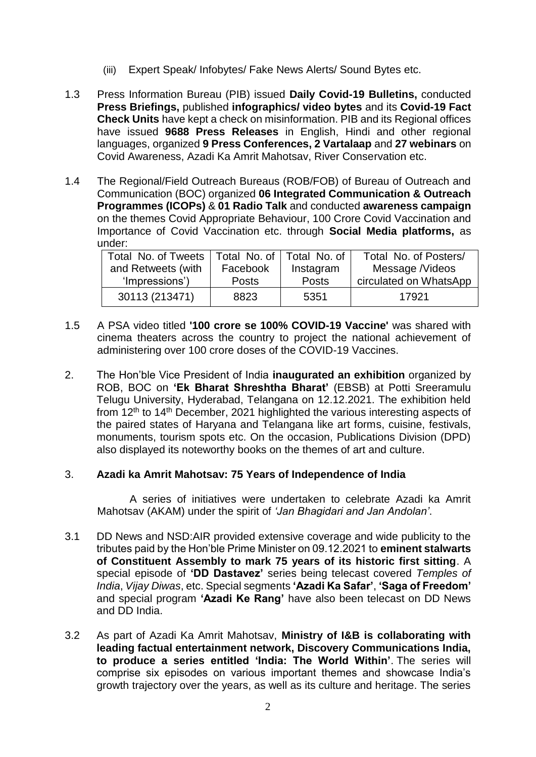- (iii) Expert Speak/ Infobytes/ Fake News Alerts/ Sound Bytes etc.
- 1.3 Press Information Bureau (PIB) issued **Daily Covid-19 Bulletins,** conducted **Press Briefings,** published **infographics/ video bytes** and its **Covid-19 Fact Check Units** have kept a check on misinformation. PIB and its Regional offices have issued **9688 Press Releases** in English, Hindi and other regional languages, organized **9 Press Conferences, 2 Vartalaap** and **27 webinars** on Covid Awareness, Azadi Ka Amrit Mahotsav, River Conservation etc.
- 1.4 The Regional/Field Outreach Bureaus (ROB/FOB) of Bureau of Outreach and Communication (BOC) organized **06 Integrated Communication & Outreach Programmes (ICOPs)** & **01 Radio Talk** and conducted **awareness campaign**  on the themes Covid Appropriate Behaviour, 100 Crore Covid Vaccination and Importance of Covid Vaccination etc. through **Social Media platforms,** as under:

| Total No. of Tweets   Total No. of   Total No. of |              |              | Total No. of Posters/  |
|---------------------------------------------------|--------------|--------------|------------------------|
| and Retweets (with                                | Facebook     | Instagram    | Message /Videos        |
| 'Impressions')                                    | <b>Posts</b> | <b>Posts</b> | circulated on WhatsApp |
| 30113 (213471)                                    | 8823         | 5351         | 17921                  |

- 1.5 A PSA video titled **'100 crore se 100% COVID-19 Vaccine'** was shared with cinema theaters across the country to project the national achievement of administering over 100 crore doses of the COVID-19 Vaccines.
- 2. The Hon'ble Vice President of India **inaugurated an exhibition** organized by ROB, BOC on **'Ek Bharat Shreshtha Bharat'** (EBSB) at Potti Sreeramulu Telugu University, Hyderabad, Telangana on 12.12.2021. The exhibition held from 12th to 14th December, 2021 highlighted the various interesting aspects of the paired states of Haryana and Telangana like art forms, cuisine, festivals, monuments, tourism spots etc. On the occasion, Publications Division (DPD) also displayed its noteworthy books on the themes of art and culture.

## 3. **Azadi ka Amrit Mahotsav: 75 Years of Independence of India**

A series of initiatives were undertaken to celebrate Azadi ka Amrit Mahotsav (AKAM) under the spirit of *'Jan Bhagidari and Jan Andolan'*.

- 3.1 DD News and NSD:AIR provided extensive coverage and wide publicity to the tributes paid by the Hon'ble Prime Minister on 09.12.2021 to **eminent stalwarts of Constituent Assembly to mark 75 years of its historic first sitting**. A special episode of **'DD Dastavez'** series being telecast covered *Temples of India*, *Vijay Diwas*, etc. Special segments **'Azadi Ka Safar'**, **'Saga of Freedom'** and special program **'Azadi Ke Rang'** have also been telecast on DD News and DD India.
- 3.2 As part of Azadi Ka Amrit Mahotsav, **Ministry of I&B is collaborating with leading factual entertainment network, Discovery Communications India, to produce a series entitled 'India: The World Within'**. The series will comprise six episodes on various important themes and showcase India's growth trajectory over the years, as well as its culture and heritage. The series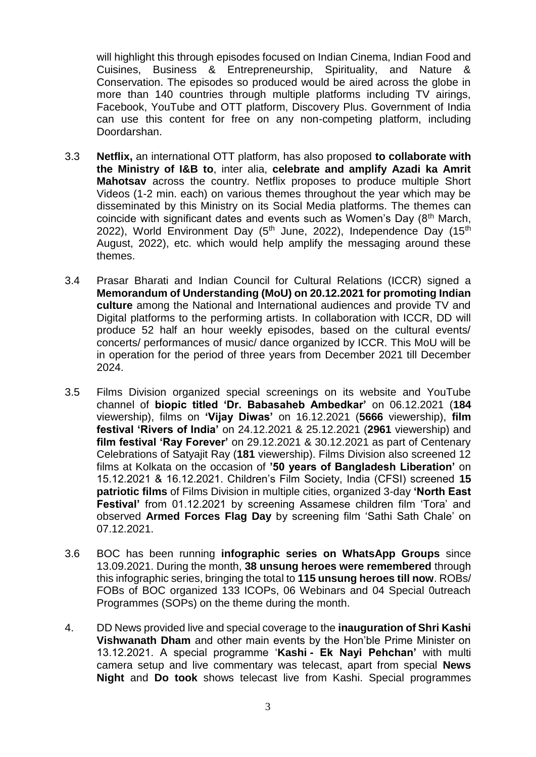will highlight this through episodes focused on Indian Cinema, Indian Food and Cuisines, Business & Entrepreneurship, Spirituality, and Nature & Conservation. The episodes so produced would be aired across the globe in more than 140 countries through multiple platforms including TV airings, Facebook, YouTube and OTT platform, Discovery Plus. Government of India can use this content for free on any non-competing platform, including Doordarshan.

- 3.3 **Netflix,** an international OTT platform, has also proposed **to collaborate with the Ministry of I&B to**, inter alia, **celebrate and amplify Azadi ka Amrit Mahotsav** across the country. Netflix proposes to produce multiple Short Videos (1-2 min. each) on various themes throughout the year which may be disseminated by this Ministry on its Social Media platforms. The themes can coincide with significant dates and events such as Women's Day  $(8<sup>th</sup> March,$ 2022), World Environment Day  $(5<sup>th</sup>$  June, 2022), Independence Day  $(15<sup>th</sup>$ August, 2022), etc. which would help amplify the messaging around these themes.
- 3.4 Prasar Bharati and Indian Council for Cultural Relations (ICCR) signed a **Memorandum of Understanding (MoU) on 20.12.2021 for promoting Indian culture** among the National and International audiences and provide TV and Digital platforms to the performing artists. In collaboration with ICCR, DD will produce 52 half an hour weekly episodes, based on the cultural events/ concerts/ performances of music/ dance organized by ICCR. This MoU will be in operation for the period of three years from December 2021 till December 2024.
- 3.5 Films Division organized special screenings on its website and YouTube channel of **biopic titled 'Dr. Babasaheb Ambedkar'** on 06.12.2021 (**184** viewership), films on **'Vijay Diwas'** on 16.12.2021 (**5666** viewership), **film festival 'Rivers of India'** on 24.12.2021 & 25.12.2021 (**2961** viewership) and **film festival 'Ray Forever'** on 29.12.2021 & 30.12.2021 as part of Centenary Celebrations of Satyajit Ray (**181** viewership). Films Division also screened 12 films at Kolkata on the occasion of **'50 years of Bangladesh Liberation'** on 15.12.2021 & 16.12.2021. Children's Film Society, India (CFSI) screened **15 patriotic films** of Films Division in multiple cities, organized 3-day **'North East Festival'** from 01.12.2021 by screening Assamese children film 'Tora' and observed **Armed Forces Flag Day** by screening film 'Sathi Sath Chale' on 07.12.2021.
- 3.6 BOC has been running **infographic series on WhatsApp Groups** since 13.09.2021. During the month, **38 unsung heroes were remembered** through this infographic series, bringing the total to **115 unsung heroes till now**. ROBs/ FOBs of BOC organized 133 ICOPs, 06 Webinars and 04 Special 0utreach Programmes (SOPs) on the theme during the month.
- 4. DD News provided live and special coverage to the **inauguration of Shri Kashi Vishwanath Dham** and other main events by the Hon'ble Prime Minister on 13.12.2021. A special programme '**Kashi - Ek Nayi Pehchan'** with multi camera setup and live commentary was telecast, apart from special **News Night** and **Do took** shows telecast live from Kashi. Special programmes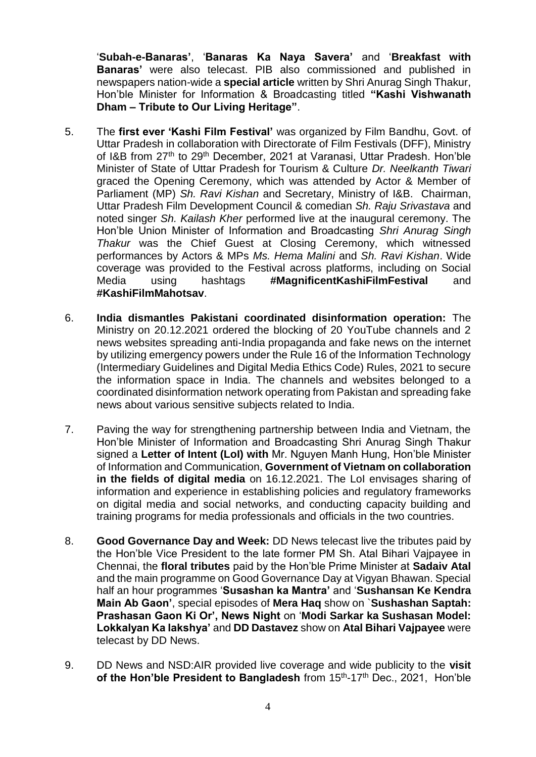'**Subah-e-Banaras'**, '**Banaras Ka Naya Savera'** and '**Breakfast with Banaras'** were also telecast. PIB also commissioned and published in newspapers nation-wide a **special article** written by Shri Anurag Singh Thakur, Hon'ble Minister for Information & Broadcasting titled **"Kashi Vishwanath Dham – Tribute to Our Living Heritage"**.

- 5. The **first ever 'Kashi Film Festival'** was organized by Film Bandhu, Govt. of Uttar Pradesh in collaboration with Directorate of Film Festivals (DFF), Ministry of I&B from 27<sup>th</sup> to 29<sup>th</sup> December, 2021 at Varanasi, Uttar Pradesh, Hon'ble Minister of State of Uttar Pradesh for Tourism & Culture *Dr. Neelkanth Tiwari* graced the Opening Ceremony, which was attended by Actor & Member of Parliament (MP) *Sh. Ravi Kishan* and Secretary, Ministry of I&B. Chairman, Uttar Pradesh Film Development Council & comedian *Sh. Raju Srivastava* and noted singer *Sh. Kailash Kher* performed live at the inaugural ceremony. The Hon'ble Union Minister of Information and Broadcasting *Shri Anurag Singh Thakur* was the Chief Guest at Closing Ceremony, which witnessed performances by Actors & MPs *Ms. Hema Malini* and *Sh. Ravi Kishan*. Wide coverage was provided to the Festival across platforms, including on Social Media using hashtags **#MagnificentKashiFilmFestival** and **#KashiFilmMahotsav**.
- 6. **India dismantles Pakistani coordinated disinformation operation:** The Ministry on 20.12.2021 ordered the blocking of 20 YouTube channels and 2 news websites spreading anti-India propaganda and fake news on the internet by utilizing emergency powers under the Rule 16 of the Information Technology (Intermediary Guidelines and Digital Media Ethics Code) Rules, 2021 to secure the information space in India. The channels and websites belonged to a coordinated disinformation network operating from Pakistan and spreading fake news about various sensitive subjects related to India.
- 7. Paving the way for strengthening partnership between India and Vietnam, the Hon'ble Minister of Information and Broadcasting Shri Anurag Singh Thakur signed a **Letter of Intent (LoI) with** Mr. Nguyen Manh Hung, Hon'ble Minister of Information and Communication, **Government of Vietnam on collaboration in the fields of digital media** on 16.12.2021. The LoI envisages sharing of information and experience in establishing policies and regulatory frameworks on digital media and social networks, and conducting capacity building and training programs for media professionals and officials in the two countries.
- 8. **Good Governance Day and Week:** DD News telecast live the tributes paid by the Hon'ble Vice President to the late former PM Sh. Atal Bihari Vajpayee in Chennai, the **floral tributes** paid by the Hon'ble Prime Minister at **Sadaiv Atal** and the main programme on Good Governance Day at Vigyan Bhawan. Special half an hour programmes '**Susashan ka Mantra'** and '**Sushansan Ke Kendra Main Ab Gaon'**, special episodes of **Mera Haq** show on `**Sushashan Saptah: Prashasan Gaon Ki Or', News Night** on '**Modi Sarkar ka Sushasan Model: Lokkalyan Ka lakshya'** and **DD Dastavez** show on **Atal Bihari Vajpayee** were telecast by DD News.
- 9. DD News and NSD:AIR provided live coverage and wide publicity to the **visit**  of the Hon'ble President to Bangladesh from 15<sup>th</sup>-17<sup>th</sup> Dec., 2021, Hon'ble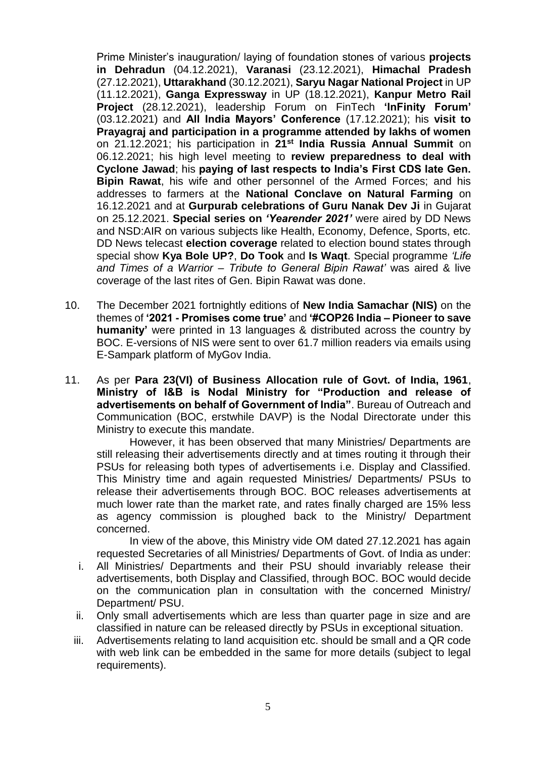Prime Minister's inauguration/ laying of foundation stones of various **projects in Dehradun** (04.12.2021), **Varanasi** (23.12.2021), **Himachal Pradesh** (27.12.2021), **Uttarakhand** (30.12.2021), **Saryu Nagar National Project** in UP (11.12.2021), **Ganga Expressway** in UP (18.12.2021), **Kanpur Metro Rail Project** (28.12.2021), leadership Forum on FinTech **'InFinity Forum'** (03.12.2021) and **All India Mayors' Conference** (17.12.2021); his **visit to Prayagraj and participation in a programme attended by lakhs of women** on 21.12.2021; his participation in **21st India Russia Annual Summit** on 06.12.2021; his high level meeting to **review preparedness to deal with Cyclone Jawad**; his **paying of last respects to India's First CDS late Gen. Bipin Rawat**, his wife and other personnel of the Armed Forces; and his addresses to farmers at the **National Conclave on Natural Farming** on 16.12.2021 and at **Gurpurab celebrations of Guru Nanak Dev Ji** in Gujarat on 25.12.2021. **Special series on** *'Yearender 2021'* were aired by DD News and NSD:AIR on various subjects like Health, Economy, Defence, Sports, etc. DD News telecast **election coverage** related to election bound states through special show **Kya Bole UP?**, **Do Took** and **Is Waqt**. Special programme *'Life and Times of a Warrior – Tribute to General Bipin Rawat'* was aired & live coverage of the last rites of Gen. Bipin Rawat was done.

- 10. The December 2021 fortnightly editions of **New India Samachar (NIS)** on the themes of **'2021 - Promises come true'** and **'#COP26 India – Pioneer to save humanity'** were printed in 13 languages & distributed across the country by BOC. E-versions of NIS were sent to over 61.7 million readers via emails using E-Sampark platform of MyGov India.
- 11. As per **Para 23(VI) of Business Allocation rule of Govt. of India, 1961**, **Ministry of I&B is Nodal Ministry for "Production and release of advertisements on behalf of Government of India"**. Bureau of Outreach and Communication (BOC, erstwhile DAVP) is the Nodal Directorate under this Ministry to execute this mandate.

However, it has been observed that many Ministries/ Departments are still releasing their advertisements directly and at times routing it through their PSUs for releasing both types of advertisements i.e. Display and Classified. This Ministry time and again requested Ministries/ Departments/ PSUs to release their advertisements through BOC. BOC releases advertisements at much lower rate than the market rate, and rates finally charged are 15% less as agency commission is ploughed back to the Ministry/ Department concerned.

In view of the above, this Ministry vide OM dated 27.12.2021 has again requested Secretaries of all Ministries/ Departments of Govt. of India as under: i. All Ministries/ Departments and their PSU should invariably release their advertisements, both Display and Classified, through BOC. BOC would decide on the communication plan in consultation with the concerned Ministry/ Department/ PSU.

- ii. Only small advertisements which are less than quarter page in size and are classified in nature can be released directly by PSUs in exceptional situation.
- iii. Advertisements relating to land acquisition etc. should be small and a QR code with web link can be embedded in the same for more details (subject to legal requirements).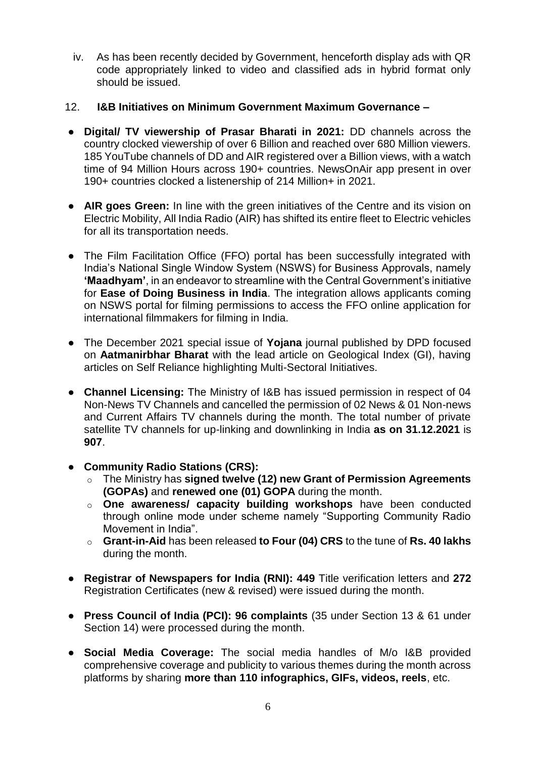iv. As has been recently decided by Government, henceforth display ads with QR code appropriately linked to video and classified ads in hybrid format only should be issued.

## 12. **I&B Initiatives on Minimum Government Maximum Governance –**

- **Digital/ TV viewership of Prasar Bharati in 2021:** DD channels across the country clocked viewership of over 6 Billion and reached over 680 Million viewers. 185 YouTube channels of DD and AIR registered over a Billion views, with a watch time of 94 Million Hours across 190+ countries. NewsOnAir app present in over 190+ countries clocked a listenership of 214 Million+ in 2021.
- **AIR goes Green:** In line with the green initiatives of the Centre and its vision on Electric Mobility, All India Radio (AIR) has shifted its entire fleet to Electric vehicles for all its transportation needs.
- The Film Facilitation Office (FFO) portal has been successfully integrated with India's National Single Window System (NSWS) for Business Approvals, namely **'Maadhyam'**, in an endeavor to streamline with the Central Government's initiative for **Ease of Doing Business in India**. The integration allows applicants coming on NSWS portal for filming permissions to access the FFO online application for international filmmakers for filming in India.
- The December 2021 special issue of **Yojana** journal published by DPD focused on **Aatmanirbhar Bharat** with the lead article on Geological Index (GI), having articles on Self Reliance highlighting Multi-Sectoral Initiatives.
- **Channel Licensing:** The Ministry of I&B has issued permission in respect of 04 Non-News TV Channels and cancelled the permission of 02 News & 01 Non-news and Current Affairs TV channels during the month. The total number of private satellite TV channels for up-linking and downlinking in India **as on 31.12.2021** is **907**.
- **Community Radio Stations (CRS):**
	- o The Ministry has **signed twelve (12) new Grant of Permission Agreements (GOPAs)** and **renewed one (01) GOPA** during the month.
	- o **One awareness/ capacity building workshops** have been conducted through online mode under scheme namely "Supporting Community Radio Movement in India".
	- o **Grant-in-Aid** has been released **to Four (04) CRS** to the tune of **Rs. 40 lakhs** during the month.
- **Registrar of Newspapers for India (RNI): 449** Title verification letters and **272** Registration Certificates (new & revised) were issued during the month.
- **Press Council of India (PCI): 96 complaints** (35 under Section 13 & 61 under Section 14) were processed during the month.
- **Social Media Coverage:** The social media handles of M/o I&B provided comprehensive coverage and publicity to various themes during the month across platforms by sharing **more than 110 infographics, GIFs, videos, reels**, etc.